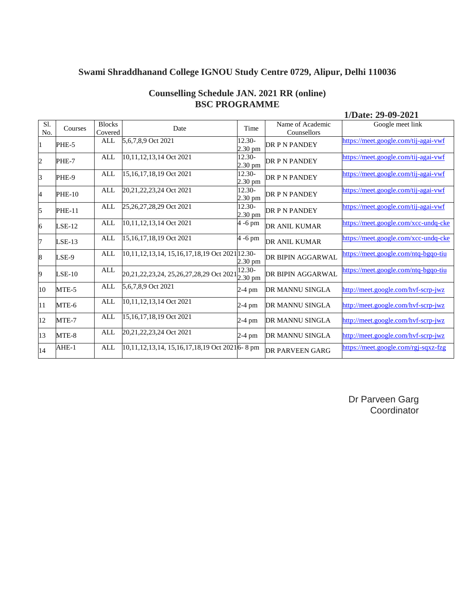|            |               |                          |                                                            |                                |                                 | 1/Date: 29-09-2021                   |
|------------|---------------|--------------------------|------------------------------------------------------------|--------------------------------|---------------------------------|--------------------------------------|
| Sl.<br>No. | Courses       | <b>Blocks</b><br>Covered | Date                                                       | Time                           | Name of Academic<br>Counsellors | Google meet link                     |
| 1          | PHE-5         | <b>ALL</b>               | 5,6,7,8,9 Oct 2021                                         | $12.30-$<br>2.30 pm            | DR P N PANDEY                   | https://meet.google.com/tij-agai-vwf |
| 2          | PHE-7         | <b>ALL</b>               | 10,11,12,13,14 Oct 2021                                    | 12.30-<br>2.30 pm              | DR P N PANDEY                   | https://meet.google.com/tij-agai-vwf |
| 3          | PHE-9         | ALL                      | 15,16,17,18,19 Oct 2021                                    | 12.30-<br>2.30 pm              | <b>DR P N PANDEY</b>            | https://meet.google.com/tij-agai-vwf |
| 4          | <b>PHE-10</b> | ALL                      | 20,21,22,23,24 Oct 2021                                    | 12.30-<br>2.30 pm              | <b>DR P N PANDEY</b>            | https://meet.google.com/tij-agai-vwf |
| 5          | <b>PHE-11</b> | ALL                      | 25,26,27,28,29 Oct 2021                                    | 12.30-<br>2.30 pm              | <b>DR P N PANDEY</b>            | https://meet.google.com/tij-agai-vwf |
| 6          | $LSE-12$      | ALL                      | 10,11,12,13,14 Oct 2021                                    | 4 -6 pm                        | <b>DR ANIL KUMAR</b>            | https://meet.google.com/xcc-undq-cke |
| 7          | $LSE-13$      | <b>ALL</b>               | 15,16,17,18,19 Oct 2021                                    | 4 -6 pm                        | DR ANIL KUMAR                   | https://meet.google.com/xcc-undq-cke |
| 8          | LSE-9         | <b>ALL</b>               | 10,11,12,13,14, 15,16,17,18,19 Oct 2021 12.30-             | 2.30 pm                        | DR BIPIN AGGARWAL               | https://meet.google.com/ntq-bgqo-tiu |
| 9          | $LSE-10$      | ALL                      | 20,21,22,23,24, 25,26,27,28,29 Oct 2021                    | $12.30 -$<br>$2.30 \text{ pm}$ | DR BIPIN AGGARWAL               | https://meet.google.com/ntq-bgqo-tiu |
| 10         | MTE-5         | ALL                      | 5,6,7,8,9 Oct 2021                                         | 2-4 pm                         | DR MANNU SINGLA                 | http://meet.google.com/hvf-scrp-jwz  |
| 11         | MTE-6         | <b>ALL</b>               | 10,11,12,13,14 Oct 2021                                    | 2-4 pm                         | <b>DR MANNU SINGLA</b>          | http://meet.google.com/hvf-scrp-jwz  |
| 12         | MTE-7         | <b>ALL</b>               | 15,16,17,18,19 Oct 2021                                    | $2-4$ pm                       | DR MANNU SINGLA                 | http://meet.google.com/hvf-scrp-jwz  |
| 13         | MTE-8         | ALL                      | 20,21,22,23,24 Oct 2021                                    | 2-4 pm                         | DR MANNU SINGLA                 | http://meet.google.com/hvf-scrp-jwz  |
| 14         | $AHE-1$       | ALL                      | 10,11,12,13,14, 15,16,17,18,19 Oct 2021 <sup>6</sup> -8 pm |                                | <b>DR PARVEEN GARG</b>          | https://meet.google.com/rgj-sqxz-fzg |

### **Counselling Schedule JAN. 2021 RR (online) BSC PROGRAMME**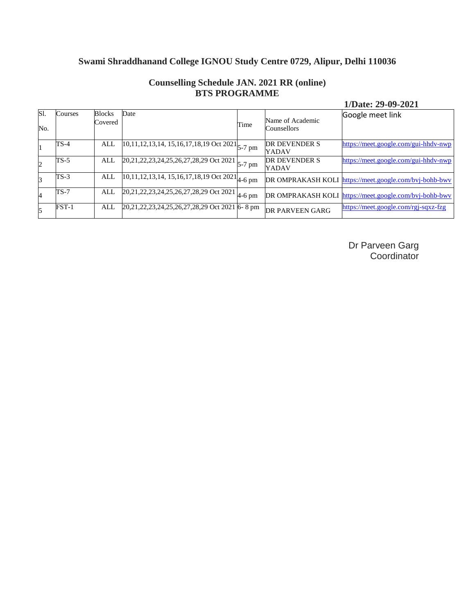| SI.<br>No. | Courses | <b>Blocks</b><br>Covered | Date                                                                             | Time | Name of Academic<br>Counsellors | Google meet link                                       |
|------------|---------|--------------------------|----------------------------------------------------------------------------------|------|---------------------------------|--------------------------------------------------------|
|            | TS-4    | ALL                      | $\sqrt{10,11,12,13,14,15,16,17,18,19}$ Oct 2021 $\left _{5-7 \text{ pm}}\right $ |      | DR DEVENDER S<br>YADAV          | https://meet.google.com/gui-hhdv-nwp                   |
| 2          | $TS-5$  | ALL                      | $20,21,22,23,24,25,26,27,28,29$ Oct 2021 $\vert_{5-7 \text{ pm}}$                |      | DR DEVENDER S<br>YADAV          | https://meet.google.com/gui-hhdv-nwp                   |
|            | $TS-3$  | ALL                      | $\sqrt{10,11,12,13,14,15,16,17,18,19}$ Oct 2021 $\frac{1}{4.6}$ pm               |      |                                 | DR OMPRAKASH KOLI https://meet.google.com/bvj-bohb-bwv |
| 4          | $TS-7$  | ALL                      | $20,21,22,23,24,25,26,27,28,29$ Oct 2021 4-6 pm                                  |      |                                 | DR OMPRAKASH KOLI https://meet.google.com/bvj-bohb-bwv |
|            | $FST-1$ | ALL                      | 20,21,22,23,24,25,26,27,28,29 Oct 2021 6-8 pm                                    |      | DR PARVEEN GARG                 | https://meet.google.com/rgj-sqxz-fzg                   |

### **Counselling Schedule JAN. 2021 RR (online) BTS PROGRAMME**

**1/Date: 29-09-2021**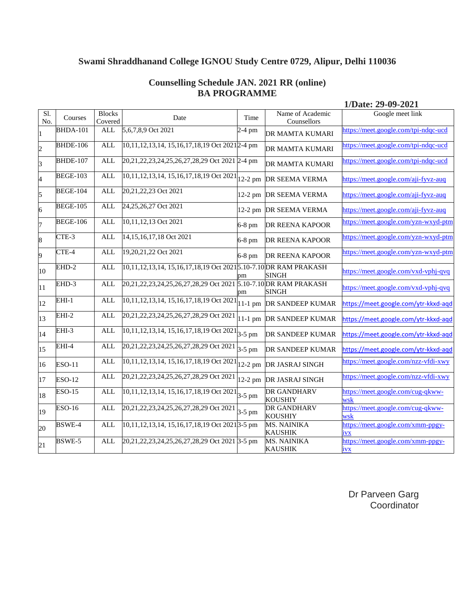#### **Counselling Schedule JAN. 2021 RR (online) BA PROGRAMME**

**1/Date: 29-09-2021**

| SI.<br>No.               | Courses         | <b>Blocks</b><br>Covered | Date                                                                 | Time     | Name of Academic<br>Counsellors          | Google meet link                                |
|--------------------------|-----------------|--------------------------|----------------------------------------------------------------------|----------|------------------------------------------|-------------------------------------------------|
|                          | <b>BHDA-101</b> | <b>ALL</b>               | 5,6,7,8,9 Oct 2021                                                   | $2-4$ pm | DR MAMTA KUMARI                          | https://meet.google.com/tpi-ndqc-ucd            |
| $\overline{c}$           | <b>BHDE-106</b> | <b>ALL</b>               | 10,11,12,13,14, 15,16,17,18,19 Oct 20212-4 pm                        |          | DR MAMTA KUMARI                          | https://meet.google.com/tpi-ndqc-ucd            |
| $\overline{\mathbf{3}}$  | <b>BHDE-107</b> | <b>ALL</b>               | 20,21,22,23,24,25,26,27,28,29 Oct 2021 2-4 pm                        |          | DR MAMTA KUMARI                          | https://meet.google.com/tpi-ndqc-ucd            |
| $\overline{\mathcal{A}}$ | <b>BEGE-103</b> | <b>ALL</b>               | $10,11,12,13,14, 15,16,17,18,19$ Oct 2021 $ 12-2$ pm DR SEEMA VERMA  |          |                                          | https://meet.google.com/aji-fyvz-auq            |
| 5                        | <b>BEGE-104</b> | <b>ALL</b>               | 20,21,22,23 Oct 2021                                                 |          | 12-2 pm DR SEEMA VERMA                   | https://meet.google.com/aji-fyvz-auq            |
| 6                        | <b>BEGE-105</b> | <b>ALL</b>               | 24,25,26,27 Oct 2021                                                 |          | 12-2 pm DR SEEMA VERMA                   | https://meet.google.com/aji-fyvz-auq            |
| 7                        | <b>BEGE-106</b> | <b>ALL</b>               | 10,11,12,13 Oct 2021                                                 | 6-8 pm   | <b>DR REENA KAPOOR</b>                   | https://meet.google.com/yzn-wxyd-ptm            |
| 8                        | $CTE-3$         | <b>ALL</b>               | 14,15,16,17,18 Oct 2021                                              | 6-8 pm   | <b>DR REENA KAPOOR</b>                   | https://meet.google.com/yzn-wxyd-ptm            |
| 9                        | CTE-4           | <b>ALL</b>               | 19,20,21,22 Oct 2021                                                 | 6-8 pm   | DR REENA KAPOOR                          | https://meet.google.com/yzn-wxyd-ptm            |
| 10                       | EHD-2           | <b>ALL</b>               | 10,11,12,13,14, 15,16,17,18,19 Oct 2021 5.10-7.10 DR RAM PRAKASH     | pm       | SINGH                                    | https://meet.google.com/vxd-vphj-qvq            |
| 11                       | EHD-3           | <b>ALL</b>               | 20,21,22,23,24,25,26,27,28,29 Oct 2021                               | pm       | 5.10-7.10 DR RAM PRAKASH<br><b>SINGH</b> | https://meet.google.com/vxd-vphj-qvq            |
| 12                       | EHI-1           | <b>ALL</b>               | 10,11,12,13,14, 15,16,17,18,19 Oct 2021                              |          | 11-1 pm DR SANDEEP KUMAR                 | https://meet.google.com/ytr-kkxd-aqd            |
| 13                       | $EHI-2$         | <b>ALL</b>               | 20,21,22,23,24,25,26,27,28,29 Oct 2021                               |          | 11-1 pm DR SANDEEP KUMAR                 | https://meet.google.com/ytr-kkxd-aqd            |
| 14                       | EHI-3           | <b>ALL</b>               | $10,11,12,13,14, 15,16,17,18,19$ Oct 2021 <sup>3</sup> -5 pm         |          | DR SANDEEP KUMAR                         | https://meet.google.com/ytr-kkxd-aqd            |
| 15                       | $EHI-4$         | <b>ALL</b>               | 20,21,22,23,24,25,26,27,28,29 Oct 2021                               | 3-5 pm   | DR SANDEEP KUMAR                         | https://meet.google.com/ytr-kkxd-aqd            |
| 16                       | <b>ESO-11</b>   | <b>ALL</b>               | $10,11,12,13,14, 15,16,17,18,19$ Oct 2021 $\vert$ 12-2 pm            |          | DR JASRAJ SINGH                          | https://meet.google.com/nzz-vfdi-xwy            |
| 17                       | <b>ESO-12</b>   | <b>ALL</b>               | 20,21,22,23,24,25,26,27,28,29 Oct 2021                               |          | 12-2 pm DR JASRAJ SINGH                  | https://meet.google.com/nzz-vfdi-xwy            |
| 18                       | <b>ESO-15</b>   | <b>ALL</b>               | $\overline{10,11,12,13,14, 15,16,17,18,19 \text{ Oct } 2021}$ 3-5 pm |          | DR GANDHARV<br><b>KOUSHIY</b>            | https://meet.google.com/cug-qkww-<br>wsk        |
| 19                       | <b>ESO-16</b>   | <b>ALL</b>               | 20,21,22,23,24,25,26,27,28,29 Oct 2021                               | 3-5 pm   | <b>DR GANDHARV</b><br><b>KOUSHIY</b>     | https://meet.google.com/cug-qkww-<br>wsk        |
| 20                       | BSWE-4          | <b>ALL</b>               | 10,11,12,13,14, 15,16,17,18,19 Oct 2021 3-5 pm                       |          | <b>MS. NAINIKA</b><br><b>KAUSHIK</b>     | https://meet.google.com/xmm-ppgy-<br>ivx        |
| 21                       | BSWE-5          | <b>ALL</b>               | 20,21,22,23,24,25,26,27,28,29 Oct 2021 3-5 pm                        |          | <b>MS. NAINIKA</b><br><b>KAUSHIK</b>     | https://meet.google.com/xmm-ppgy-<br><u>ivx</u> |
|                          |                 |                          |                                                                      |          |                                          |                                                 |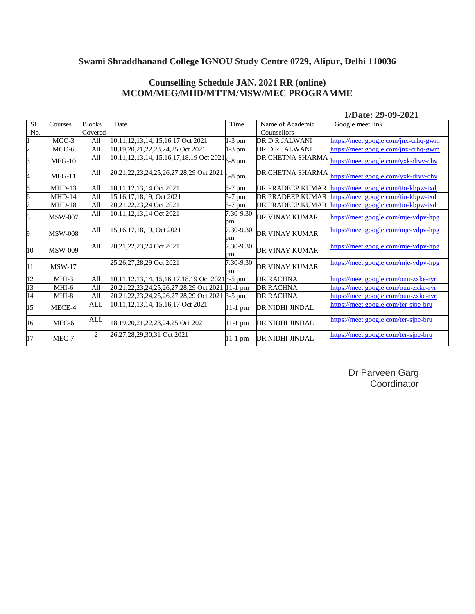### **Counselling Schedule JAN. 2021 RR (online) MCOM/MEG/MHD/MTTM/MSW/MEC PROGRAMME**

#### **1/Date: 29-09-2021**

| Sl.             | Courses        | <b>Blocks</b> | Date                                                                           | Time            | Name of Academic        | Google meet link                     |
|-----------------|----------------|---------------|--------------------------------------------------------------------------------|-----------------|-------------------------|--------------------------------------|
| No.             |                | Covered       |                                                                                |                 | Counsellors             |                                      |
|                 | $MCO-3$        | All           | 10,11,12,13,14, 15,16,17 Oct 2021                                              | $1-3$ pm        | DR D R JALWANI          | https://meet.google.com/jnx-crhq-gwm |
| $\overline{c}$  | MCO-6          | All           | 18, 19, 20, 21, 22, 23, 24, 25 Oct 2021                                        | 1-3 pm          | DR D R JALWANI          | https://meet.google.com/jnx-crhq-gwm |
| 3               | $MEG-10$       | All           | $\frac{10,12,12,13,14}{10,11,12,13,14,15,16,17,18,19 \text{ Oct}}$ 2021 6-8 pm |                 | DR CHETNA SHARMA        | https://meet.google.com/yxk-divv-chv |
| 4               | $MEG-11$       | All           | 20,21,22,23,24,25,26,27,28,29 Oct 2021                                         | 6-8 pm          | DR CHETNA SHARMA        | https://meet.google.com/yxk-divv-chv |
| 5               | $MHD-13$       | All           | 10,11,12,13,14 Oct 2021                                                        | 5-7 pm          | <b>DR PRADEEP KUMAR</b> | https://meet.google.com/tio-kbpw-txd |
| б               | $MHD-14$       | All           | 15,16,17,18,19, Oct 2021                                                       | 5-7 pm          | DR PRADEEP KUMAR        | https://meet.google.com/tio-kbpw-txd |
| 7               | $MHD-18$       | All           | 20, 21, 22, 23, 24 Oct 2021                                                    | 5-7 pm          | DR PRADEEP KUMAR        | https://meet.google.com/tio-kbpw-txd |
| 8               | <b>MSW-007</b> | All           | 10,11,12,13,14 Oct 2021                                                        | 7.30-9.30<br>рm | DR VINAY KUMAR          | https://meet.google.com/mje-vdpv-hpg |
| 9               | <b>MSW-008</b> | All           | 15,16,17,18,19, Oct 2021                                                       | 7.30-9.30<br>nm | DR VINAY KUMAR          | https://meet.google.com/mje-vdpv-hpg |
| 10              | <b>MSW-009</b> | All           | 20, 21, 22, 23, 24 Oct 2021                                                    | 7.30-9.30<br>pm | DR VINAY KUMAR          | https://meet.google.com/mje-vdpv-hpg |
| 11              | $MSW-17$       |               | 25,26,27,28,29 Oct 2021                                                        | 7.30-9.30<br>pm | DR VINAY KUMAR          | https://meet.google.com/mje-vdpv-hpg |
| 12              | MHI-3          | All           | 10,11,12,13,14, 15,16,17,18,19 Oct 2021 3-5 pm                                 |                 | <b>DR RACHNA</b>        | https://meet.google.com/ouu-zxke-ryr |
| $\overline{13}$ | MHI-6          | All           | 20, 21, 22, 23, 24, 25, 26, 27, 28, 29 Oct 2021                                | $11-1$ pm       | <b>DR RACHNA</b>        | https://meet.google.com/ouu-zxke-ryr |
| $\overline{14}$ | $MHI-8$        | All           | 20,21,22,23,24,25,26,27,28,29 Oct 2021 3-5 pm                                  |                 | <b>DR RACHNA</b>        | https://meet.google.com/ouu-zxke-ryr |
| 15              | MECE-4         | ALL           | 10,11,12,13,14, 15,16,17 Oct 2021                                              | 11-1 pm         | DR NIDHI JINDAL         | https://meet.google.com/ter-sjpe-bru |
| 16              | MEC-6          | ALL           | 18, 19, 20, 21, 22, 23, 24, 25 Oct 2021                                        | $11-1$ pm       | DR NIDHI JINDAL         | https://meet.google.com/ter-sjpe-bru |
| 17              | MEC-7          | 2             | 26, 27, 28, 29, 30, 31 Oct 2021                                                | 11-1 pm         | DR NIDHI JINDAL         | https://meet.google.com/ter-sjpe-bru |